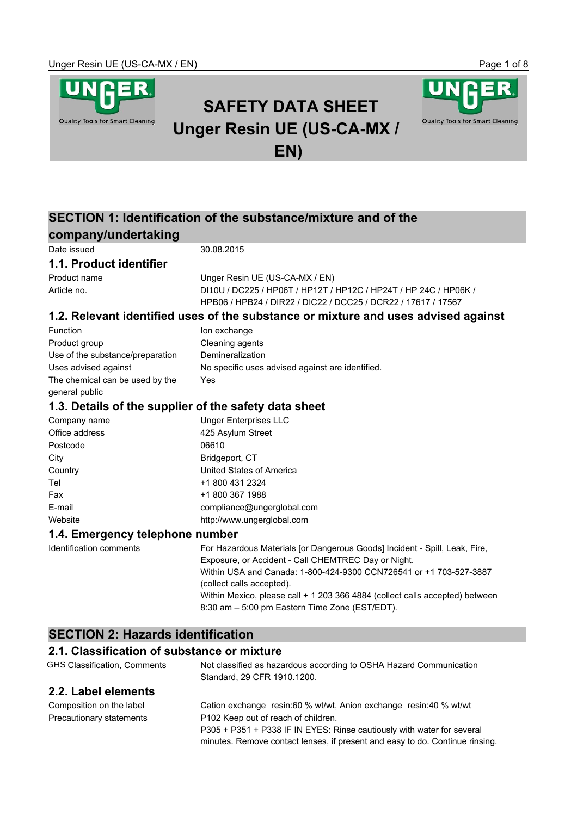**Quality Tools for Smart Cleaning** 



# **SAFETY DATA SHEET Unger Resin UE (US-CA-MX / EN)**



# **company/undertaking**

Date issued 30.08.2015

### **1.1. Product identifier**

Product name Unger Resin UE (US-CA-MX / EN) Article no. DI10V / DC225 / HP06T / HP12T / HP12C / HP24T / HP 24C / HP06K / DI10UHPB06 / HPB24 / DIR22 / DIC22 / DCC25 / DCR22 / 17617 / 17567

### **1.2. Relevant identified uses of the substance or mixture and uses advised against**

| <b>Function</b>                  | Ion exchange                                     |
|----------------------------------|--------------------------------------------------|
| Product group                    | Cleaning agents                                  |
| Use of the substance/preparation | Demineralization                                 |
| Uses advised against             | No specific uses advised against are identified. |
| The chemical can be used by the  | Yes                                              |
| general public                   |                                                  |

### **1.3. Details of the supplier of the safety data sheet**

| Company name   | <b>Unger Enterprises LLC</b> |
|----------------|------------------------------|
| Office address | 425 Asylum Street            |
| Postcode       | 06610                        |
| City           | Bridgeport, CT               |
| Country        | United States of America     |
| Tel            | +1 800 431 2324              |
| Fax            | +1 800 367 1988              |
| E-mail         | compliance@ungerglobal.com   |
| Website        | http://www.ungerglobal.com   |
|                |                              |

### **1.4. Emergency telephone number**

Identification comments For Hazardous Materials [or Dangerous Goods] Incident - Spill, Leak, Fire, Exposure, or Accident - Call CHEMTREC Day or Night. Within USA and Canada: 1-800-424-9300 CCN726541 or +1 703-527-3887 (collect calls accepted). Within Mexico, please call + 1 203 366 4884 (collect calls accepted) between 8:30 am – 5:00 pm Eastern Time Zone (EST/EDT).

# **SECTION 2: Hazards identification**

# **2.1. Classification of substance or mixture**

| GHS Classification, Comments | Not classified as hazardous according to OSHA Hazard Communication<br>Standard, 29 CFR 1910.1200. |
|------------------------------|---------------------------------------------------------------------------------------------------|
| 2.2. Label elements          |                                                                                                   |
| Composition on the label     | Cation exchange resin:60 % wt/wt, Anion exchange resin:40 % wt/wt                                 |
| Precautionary statements     | P102 Keep out of reach of children.                                                               |

P305 + P351 + P338 IF IN EYES: Rinse cautiously with water for several minutes. Remove contact lenses, if present and easy to do. Continue rinsing.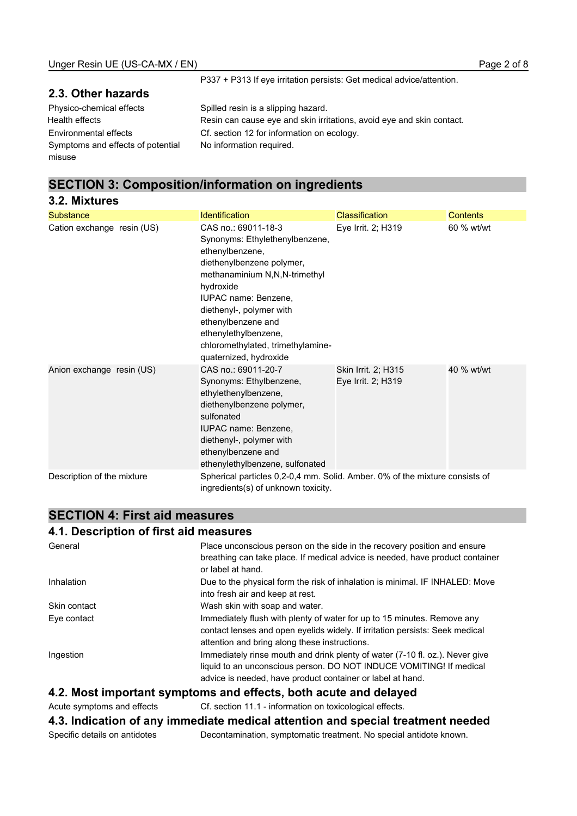P337 + P313 If eye irritation persists: Get medical advice/attention.

### **2.3. Other hazards**

Physico-chemical effects Spilled resin is a slipping hazard. Health effects **Resin can cause eye and skin irritations**, avoid eye and skin contact. Environmental effects Cf. section 12 for information on ecology. Symptoms and effects of potential misuse No information required.

# **SECTION 3: Composition/information on ingredients**

| 3.2. Mixtures              |                                                                                                                                                                                                                                                                                                                      |                                           |            |
|----------------------------|----------------------------------------------------------------------------------------------------------------------------------------------------------------------------------------------------------------------------------------------------------------------------------------------------------------------|-------------------------------------------|------------|
| <b>Substance</b>           | <b>Identification</b>                                                                                                                                                                                                                                                                                                | <b>Classification</b>                     | Contents   |
| Cation exchange resin (US) | CAS no.: 69011-18-3<br>Synonyms: Ethylethenylbenzene,<br>ethenylbenzene,<br>diethenylbenzene polymer,<br>methanaminium N,N,N-trimethyl<br>hydroxide<br>IUPAC name: Benzene,<br>diethenyl-, polymer with<br>ethenylbenzene and<br>ethenylethylbenzene,<br>chloromethylated, trimethylamine-<br>quaternized, hydroxide | Eye Irrit. 2; H319                        | 60 % wt/wt |
| Anion exchange resin (US)  | CAS no.: 69011-20-7<br>Synonyms: Ethylbenzene,<br>ethylethenylbenzene,<br>diethenylbenzene polymer,<br>sulfonated<br>IUPAC name: Benzene,<br>diethenyl-, polymer with<br>ethenylbenzene and<br>ethenylethylbenzene, sulfonated                                                                                       | Skin Irrit. 2; H315<br>Eye Irrit. 2; H319 | 40 % wt/wt |
| Description of the mixture | Spherical particles 0,2-0,4 mm. Solid. Amber. 0% of the mixture consists of<br>ingredients(s) of unknown toxicity.                                                                                                                                                                                                   |                                           |            |

### **SECTION 4: First aid measures**

### **4.1. Description of first aid measures**

| General                    | Place unconscious person on the side in the recovery position and ensure                           |
|----------------------------|----------------------------------------------------------------------------------------------------|
|                            | breathing can take place. If medical advice is needed, have product container<br>or label at hand. |
| Inhalation                 | Due to the physical form the risk of inhalation is minimal. IF INHALED: Move                       |
|                            | into fresh air and keep at rest.                                                                   |
| Skin contact               | Wash skin with soap and water.                                                                     |
| Eye contact                | Immediately flush with plenty of water for up to 15 minutes. Remove any                            |
|                            | contact lenses and open eyelids widely. If irritation persists: Seek medical                       |
|                            | attention and bring along these instructions.                                                      |
| Ingestion                  | Immediately rinse mouth and drink plenty of water (7-10 fl. oz.). Never give                       |
|                            | liquid to an unconscious person. DO NOT INDUCE VOMITING! If medical                                |
|                            | advice is needed, have product container or label at hand.                                         |
|                            | 4.2. Most important symptoms and effects, both acute and delayed                                   |
| Acute symptoms and effects | Cf. section 11.1 - information on toxicological effects.                                           |
|                            | 4.3. Indication of any immediate medical attention and special treatment needed                    |

Specific details on antidotes Decontamination, symptomatic treatment. No special antidote known.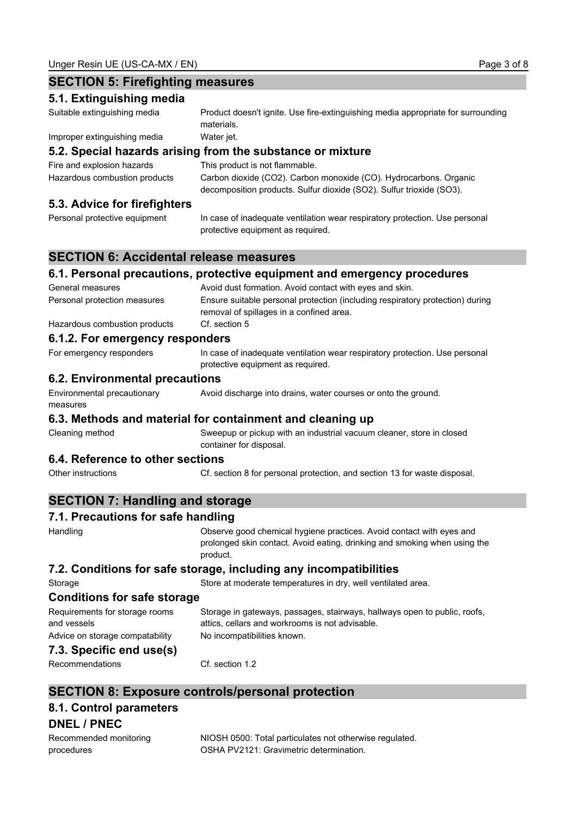### **SECTION 5: Firefighting measures 5.1. Extinguishing media** Suitable extinguishing media Product doesn't ignite. Use fire-extinguishing media appropriate for surrounding materials. Improper extinguishing media Water jet. **5.2. Special hazards arising from the substance or mixture** Fire and explosion hazards This product is not flammable. Hazardous combustion products Carbon dioxide (CO2). Carbon monoxide (CO). Hydrocarbons. Organic decomposition products. Sulfur dioxide (SO2). Sulfur trioxide (SO3). **5.3. Advice for firefighters** Personal protective equipment In case of inadequate ventilation wear respiratory protection. Use personal protective equipment as required. **SECTION 6: Accidental release measures 6.1. Personal precautions, protective equipment and emergency procedures** General measures **Avoid dust formation.** Avoid contact with eyes and skin. Personal protection measures Ensure suitable personal protection (including respiratory protection) during removal of spillages in a confined area. Hazardous combustion products Cf. section 5 **6.1.2. For emergency responders** For emergency responders In case of inadequate ventilation wear respiratory protection. Use personal protective equipment as required. **6.2. Environmental precautions** Environmental precautionary measures Avoid discharge into drains, water courses or onto the ground. **6.3. Methods and material for containment and cleaning up** Cleaning method Sweepup or pickup with an industrial vacuum cleaner, store in closed container for disposal. **6.4. Reference to other sections** Other instructions Cf. section 8 for personal protection, and section 13 for waste disposal. **SECTION 7: Handling and storage 7.1. Precautions for safe handling** Handling Observe good chemical hygiene practices. Avoid contact with eyes and prolonged skin contact. Avoid eating, drinking and smoking when using the product. **7.2. Conditions for safe storage, including any incompatibilities** Storage Store at moderate temperatures in dry, well ventilated area. **Conditions for safe storage** Requirements for storage rooms and vessels Storage in gateways, passages, stairways, hallways open to public, roofs, attics, cellars and workrooms is not advisable. Advice on storage compatability No incompatibilities known. **7.3. Specific end use(s)** Recommendations Cf. section 1.2

# **SECTION 8: Exposure controls/personal protection**

# **8.1. Control parameters**

### **DNEL / PNEC**

| Recommended monitoring | NIOSH 0500: Total particulates not otherwise regulated. |
|------------------------|---------------------------------------------------------|
| procedures             | OSHA PV2121: Gravimetric determination.                 |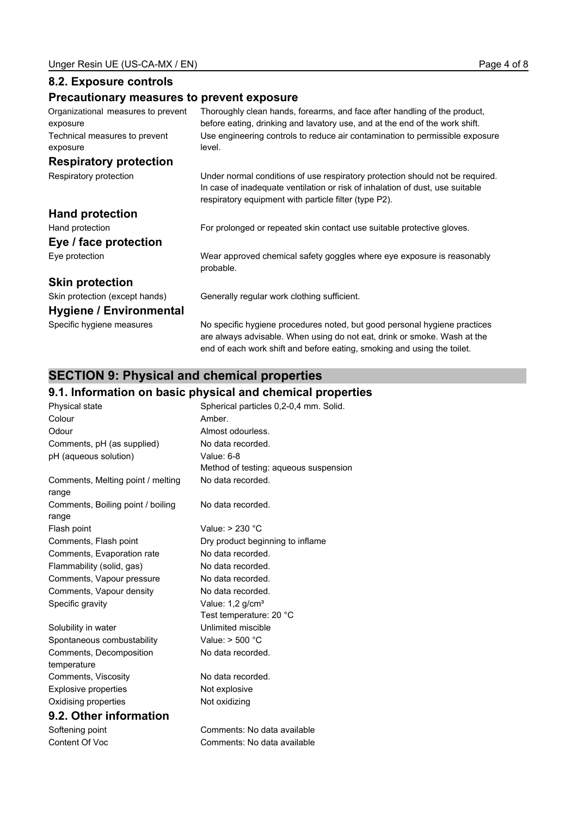## **8.2. Exposure controls**

# **Precautionary measures to prevent exposure**

| Organizational measures to prevent<br>exposure | Thoroughly clean hands, forearms, and face after handling of the product,<br>before eating, drinking and lavatory use, and at the end of the work shift.                                                                |
|------------------------------------------------|-------------------------------------------------------------------------------------------------------------------------------------------------------------------------------------------------------------------------|
| Technical measures to prevent                  | Use engineering controls to reduce air contamination to permissible exposure                                                                                                                                            |
| exposure                                       | level.                                                                                                                                                                                                                  |
| <b>Respiratory protection</b>                  |                                                                                                                                                                                                                         |
| Respiratory protection                         | Under normal conditions of use respiratory protection should not be required.<br>In case of inadequate ventilation or risk of inhalation of dust, use suitable<br>respiratory equipment with particle filter (type P2). |
| <b>Hand protection</b>                         |                                                                                                                                                                                                                         |
| Hand protection                                | For prolonged or repeated skin contact use suitable protective gloves.                                                                                                                                                  |
| Eye / face protection                          |                                                                                                                                                                                                                         |
| Eye protection                                 | Wear approved chemical safety goggles where eye exposure is reasonably<br>probable.                                                                                                                                     |
| <b>Skin protection</b>                         |                                                                                                                                                                                                                         |
| Skin protection (except hands)                 | Generally regular work clothing sufficient.                                                                                                                                                                             |
| Hygiene / Environmental                        |                                                                                                                                                                                                                         |
| Specific hygiene measures                      | No specific hygiene procedures noted, but good personal hygiene practices<br>are always advisable. When using do not eat, drink or smoke. Wash at the                                                                   |

end of each work shift and before eating, smoking and using the toilet.

# **SECTION 9: Physical and chemical properties**

# **9.1. Information on basic physical and chemical properties**

|                                   | 9.1. Information on basic priysical and chemical proper |
|-----------------------------------|---------------------------------------------------------|
| Physical state                    | Spherical particles 0,2-0,4 mm. Solid.                  |
| Colour                            | Amber.                                                  |
| Odour                             | Almost odourless.                                       |
| Comments, pH (as supplied)        | No data recorded.                                       |
| pH (aqueous solution)             | Value: 6-8                                              |
|                                   | Method of testing: aqueous suspension                   |
| Comments, Melting point / melting | No data recorded.                                       |
| range                             |                                                         |
| Comments, Boiling point / boiling | No data recorded.                                       |
| range                             |                                                         |
| Flash point                       | Value: $> 230$ °C                                       |
| Comments, Flash point             | Dry product beginning to inflame                        |
| Comments, Evaporation rate        | No data recorded.                                       |
| Flammability (solid, gas)         | No data recorded.                                       |
| Comments, Vapour pressure         | No data recorded.                                       |
| Comments, Vapour density          | No data recorded.                                       |
| Specific gravity                  | Value: 1,2 g/cm <sup>3</sup>                            |
|                                   | Test temperature: 20 °C                                 |
| Solubility in water               | Unlimited miscible                                      |
| Spontaneous combustability        | Value: $>$ 500 $^{\circ}$ C                             |
| Comments, Decomposition           | No data recorded.                                       |
| temperature                       |                                                         |
| Comments, Viscosity               | No data recorded.                                       |
| <b>Explosive properties</b>       | Not explosive                                           |
| Oxidising properties              | Not oxidizing                                           |
| 9.2. Other information            |                                                         |
| Softening point                   | Comments: No data available                             |
| Content Of Voc                    | Comments: No data available                             |
|                                   |                                                         |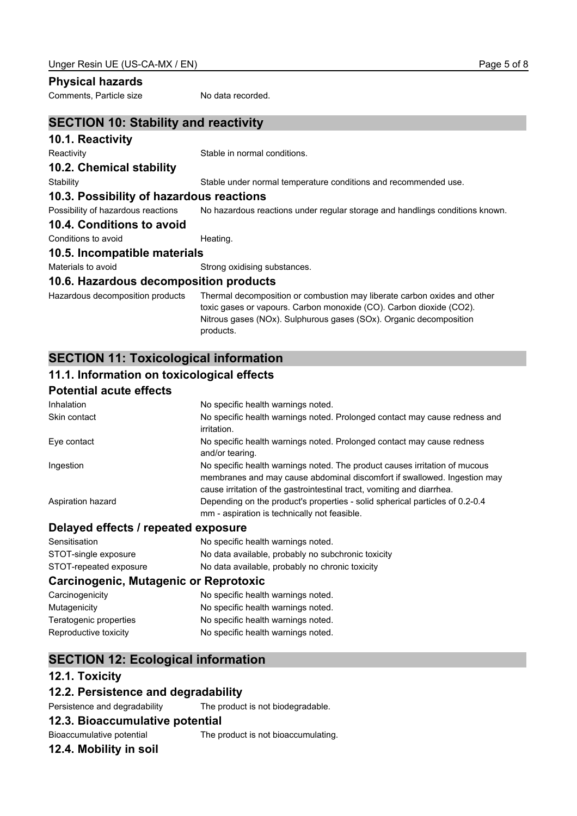### **Physical hazards**

Comments, Particle size No data recorded.

| <b>SECTION 10: Stability and reactivity</b> |                                                                                                             |
|---------------------------------------------|-------------------------------------------------------------------------------------------------------------|
| 10.1. Reactivity                            |                                                                                                             |
| Reactivity                                  | Stable in normal conditions.                                                                                |
| 10.2. Chemical stability                    |                                                                                                             |
| Stability                                   | Stable under normal temperature conditions and recommended use.                                             |
| 10.3. Possibility of hazardous reactions    |                                                                                                             |
| Possibility of hazardous reactions          | No hazardous reactions under regular storage and handlings conditions known.                                |
| 10.4. Conditions to avoid                   |                                                                                                             |
| Conditions to avoid                         | Heating.                                                                                                    |
| 10.5. Incompatible materials                |                                                                                                             |
| Materials to avoid                          | Strong oxidising substances.                                                                                |
| 10.6. Hazardous decomposition products      |                                                                                                             |
|                                             | ttamaalana daaannaaliisa oo dhata Tiraarat daaannaaliisa oo qoolmatica oo mid Kanata qodaan qoddaa qod alla |

Hazardous decomposition products Thermal decomposition or combustion may liberate carbon oxides and other toxic gases or vapours. Carbon monoxide (CO). Carbon dioxide (CO2). Nitrous gases (NOx). Sulphurous gases (SOx). Organic decomposition products.

## **SECTION 11: Toxicological information**

### **11.1. Information on toxicological effects**

## **Potential acute effects**

| Inhalation                          | No specific health warnings noted.                                                                                                                                                                                               |
|-------------------------------------|----------------------------------------------------------------------------------------------------------------------------------------------------------------------------------------------------------------------------------|
| Skin contact                        | No specific health warnings noted. Prolonged contact may cause redness and<br>irritation.                                                                                                                                        |
| Eye contact                         | No specific health warnings noted. Prolonged contact may cause redness<br>and/or tearing.                                                                                                                                        |
| Ingestion                           | No specific health warnings noted. The product causes irritation of mucous<br>membranes and may cause abdominal discomfort if swallowed. Ingestion may<br>cause irritation of the gastrointestinal tract, vomiting and diarrhea. |
| Aspiration hazard                   | Depending on the product's properties - solid spherical particles of 0.2-0.4<br>mm - aspiration is technically not feasible.                                                                                                     |
| Delayed effects / repeated exposure |                                                                                                                                                                                                                                  |

| Sensitisation          | No specific health warnings noted.                 |
|------------------------|----------------------------------------------------|
| STOT-single exposure   | No data available, probably no subchronic toxicity |
| STOT-repeated exposure | No data available, probably no chronic toxicity    |

### **Carcinogenic, Mutagenic or Reprotoxic**

| Carcinogenicity        | No specific health warnings noted. |
|------------------------|------------------------------------|
| Mutagenicity           | No specific health warnings noted. |
| Teratogenic properties | No specific health warnings noted. |
| Reproductive toxicity  | No specific health warnings noted. |

# **SECTION 12: Ecological information**

### **12.1. Toxicity**

### **12.2. Persistence and degradability**

### Persistence and degradability The product is not biodegradable.

### **12.3. Bioaccumulative potential**

#### Bioaccumulative potential The product is not bioaccumulating.

### **12.4. Mobility in soil**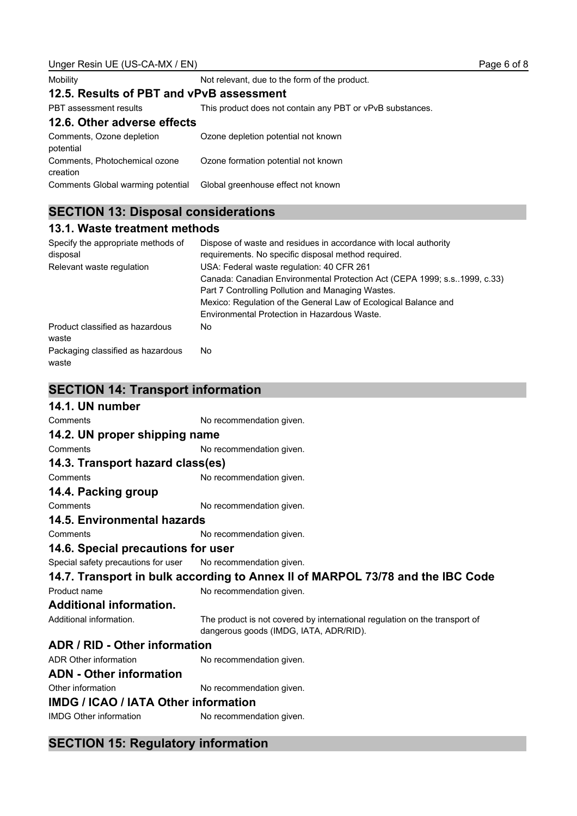| Unger Resin UE (US-CA-MX / EN)             |                                                                  | Page 6 c |
|--------------------------------------------|------------------------------------------------------------------|----------|
| Mobility                                   | Not relevant, due to the form of the product.                    |          |
| 12.5. Results of PBT and vPvB assessment   |                                                                  |          |
| PBT assessment results                     | This product does not contain any PBT or vPvB substances.        |          |
| 12.6. Other adverse effects                |                                                                  |          |
| Comments, Ozone depletion<br>potential     | Ozone depletion potential not known                              |          |
| Comments, Photochemical ozone<br>creation  | Ozone formation potential not known                              |          |
| Comments Global warming potential          | Global greenhouse effect not known                               |          |
| <b>SECTION 13: Disposal considerations</b> |                                                                  |          |
| 13.1. Waste treatment methods              |                                                                  |          |
| Specify the appropriate methods of         | Dispose of waste and residues in accordance with local authority |          |

| disposal                                   | requirements. No specific disposal method required.                        |
|--------------------------------------------|----------------------------------------------------------------------------|
| Relevant waste regulation                  | USA: Federal waste regulation: 40 CFR 261                                  |
|                                            | Canada: Canadian Environmental Protection Act (CEPA 1999; s.s. 1999, c.33) |
|                                            | Part 7 Controlling Pollution and Managing Wastes.                          |
|                                            | Mexico: Regulation of the General Law of Ecological Balance and            |
|                                            | Environmental Protection in Hazardous Waste.                               |
| Product classified as hazardous<br>waste   | No.                                                                        |
| Packaging classified as hazardous<br>waste | No.                                                                        |

# **SECTION 14: Transport information**

| 14.1. UN number                                                                |                                                                                                                      |  |
|--------------------------------------------------------------------------------|----------------------------------------------------------------------------------------------------------------------|--|
| Comments                                                                       | No recommendation given.                                                                                             |  |
| 14.2. UN proper shipping name                                                  |                                                                                                                      |  |
| Comments                                                                       | No recommendation given.                                                                                             |  |
| 14.3. Transport hazard class(es)                                               |                                                                                                                      |  |
| Comments                                                                       | No recommendation given.                                                                                             |  |
| 14.4. Packing group                                                            |                                                                                                                      |  |
| Comments                                                                       | No recommendation given.                                                                                             |  |
| <b>14.5. Environmental hazards</b>                                             |                                                                                                                      |  |
| Comments                                                                       | No recommendation given.                                                                                             |  |
| 14.6. Special precautions for user                                             |                                                                                                                      |  |
| Special safety precautions for user                                            | No recommendation given.                                                                                             |  |
| 14.7. Transport in bulk according to Annex II of MARPOL 73/78 and the IBC Code |                                                                                                                      |  |
| Product name                                                                   | No recommendation given.                                                                                             |  |
| <b>Additional information.</b>                                                 |                                                                                                                      |  |
| Additional information.                                                        | The product is not covered by international regulation on the transport of<br>dangerous goods (IMDG, IATA, ADR/RID). |  |
| ADR / RID - Other information                                                  |                                                                                                                      |  |
| ADR Other information                                                          | No recommendation given.                                                                                             |  |
| <b>ADN</b> - Other information                                                 |                                                                                                                      |  |
| Other information                                                              | No recommendation given.                                                                                             |  |
| <b>IMDG / ICAO / IATA Other information</b>                                    |                                                                                                                      |  |
| <b>IMDG Other information</b>                                                  | No recommendation given.                                                                                             |  |

# **SECTION 15: Regulatory information**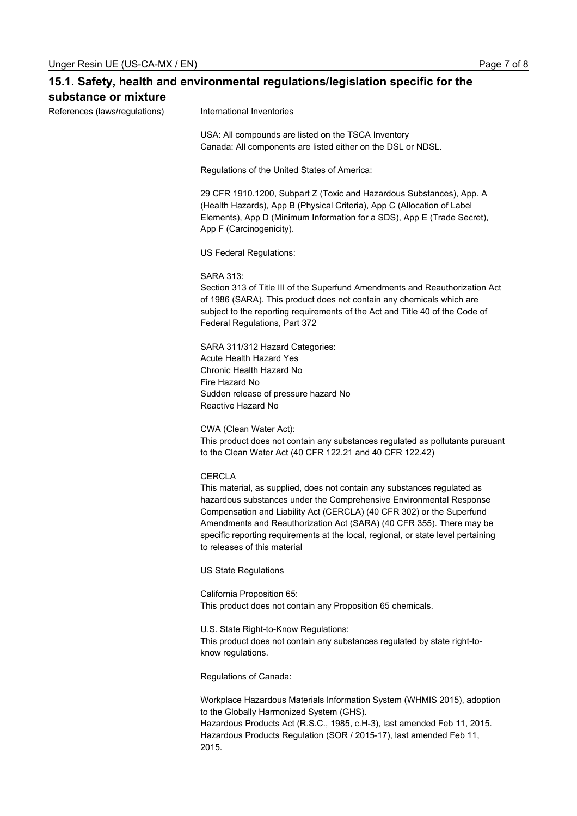| 15.1. Safety, health and environmental regulations/legislation specific for the<br>substance or mixture |                                                                                                                                                                                                                                                                                                                                                                                                                                        |  |
|---------------------------------------------------------------------------------------------------------|----------------------------------------------------------------------------------------------------------------------------------------------------------------------------------------------------------------------------------------------------------------------------------------------------------------------------------------------------------------------------------------------------------------------------------------|--|
| References (laws/regulations)                                                                           | International Inventories                                                                                                                                                                                                                                                                                                                                                                                                              |  |
|                                                                                                         | USA: All compounds are listed on the TSCA Inventory<br>Canada: All components are listed either on the DSL or NDSL.                                                                                                                                                                                                                                                                                                                    |  |
|                                                                                                         | Regulations of the United States of America:                                                                                                                                                                                                                                                                                                                                                                                           |  |
|                                                                                                         | 29 CFR 1910.1200, Subpart Z (Toxic and Hazardous Substances), App. A<br>(Health Hazards), App B (Physical Criteria), App C (Allocation of Label<br>Elements), App D (Minimum Information for a SDS), App E (Trade Secret),<br>App F (Carcinogenicity).                                                                                                                                                                                 |  |
|                                                                                                         | US Federal Regulations:                                                                                                                                                                                                                                                                                                                                                                                                                |  |
|                                                                                                         | <b>SARA 313:</b><br>Section 313 of Title III of the Superfund Amendments and Reauthorization Act<br>of 1986 (SARA). This product does not contain any chemicals which are<br>subject to the reporting requirements of the Act and Title 40 of the Code of<br>Federal Regulations, Part 372                                                                                                                                             |  |
|                                                                                                         | SARA 311/312 Hazard Categories:<br>Acute Health Hazard Yes<br>Chronic Health Hazard No<br>Fire Hazard No<br>Sudden release of pressure hazard No<br>Reactive Hazard No                                                                                                                                                                                                                                                                 |  |
|                                                                                                         | CWA (Clean Water Act):<br>This product does not contain any substances regulated as pollutants pursuant<br>to the Clean Water Act (40 CFR 122.21 and 40 CFR 122.42)                                                                                                                                                                                                                                                                    |  |
|                                                                                                         | <b>CERCLA</b><br>This material, as supplied, does not contain any substances regulated as<br>hazardous substances under the Comprehensive Environmental Response<br>Compensation and Liability Act (CERCLA) (40 CFR 302) or the Superfund<br>Amendments and Reauthorization Act (SARA) (40 CFR 355). There may be<br>specific reporting requirements at the local, regional, or state level pertaining<br>to releases of this material |  |
|                                                                                                         | <b>US State Regulations</b>                                                                                                                                                                                                                                                                                                                                                                                                            |  |
|                                                                                                         | California Proposition 65:<br>This product does not contain any Proposition 65 chemicals.                                                                                                                                                                                                                                                                                                                                              |  |
|                                                                                                         | U.S. State Right-to-Know Regulations:<br>This product does not contain any substances regulated by state right-to-<br>know regulations.                                                                                                                                                                                                                                                                                                |  |
|                                                                                                         | Regulations of Canada:                                                                                                                                                                                                                                                                                                                                                                                                                 |  |
|                                                                                                         | Workplace Hazardous Materials Information System (WHMIS 2015), adoption<br>to the Globally Harmonized System (GHS).<br>Hazardous Products Act (R.S.C., 1985, c.H-3), last amended Feb 11, 2015.<br>Hazardous Products Regulation (SOR / 2015-17), last amended Feb 11,                                                                                                                                                                 |  |

2015.